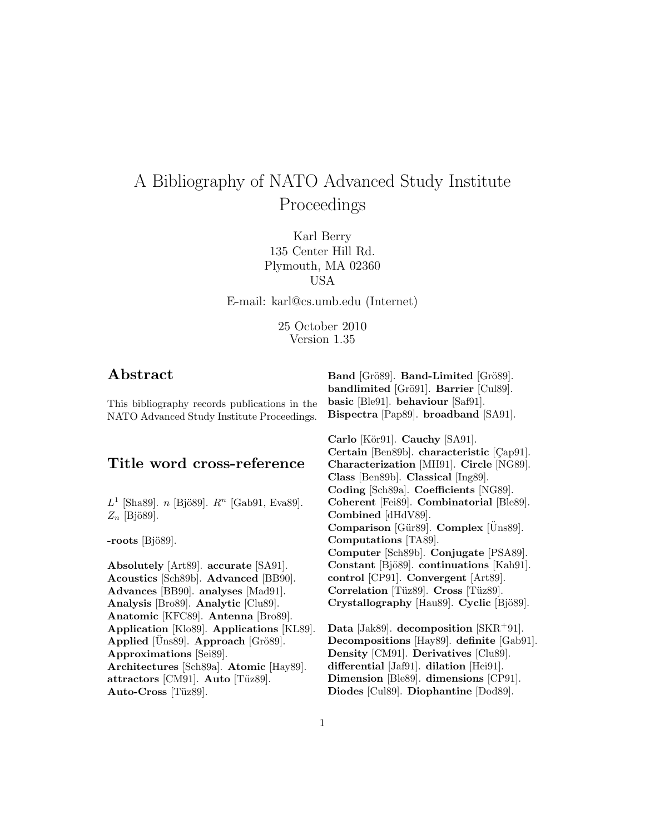# A Bibliography of NATO Advanced Study Institute Proceedings

Karl Berry 135 Center Hill Rd. Plymouth, MA 02360 USA

E-mail: karl@cs.umb.edu (Internet)

25 October 2010 Version 1.35

# **Abstract**

This bibliography records publications in the NATO Advanced Study Institute Proceedings.

# **Title word cross-reference**

 $L^1$  [Sha89]. *n* [Bjö89].  $R^n$  [Gab91, Eva89].  $Z_n$  [Bjö89].

-roots [Bjö89].

**Absolutely** [Art89]. **accurate** [SA91]. **Acoustics** [Sch89b]. **Advanced** [BB90]. **Advances** [BB90]. **analyses** [Mad91]. **Analysis** [Bro89]. **Analytic** [Clu89]. **Anatomic** [KFC89]. **Antenna** [Bro89]. **Application** [Klo89]. **Applications** [KL89]. **Applied** [Uns89]. **Approach** [Grö89]. **Approximations** [Sei89]. **Architectures** [Sch89a]. **Atomic** [Hay89]. **attractors** [CM91]. **Auto** [Tüz89]. Auto-Cross<sup>[Tüz89].</sup>

**Band** [Grö89]. **Band-Limited** [Grö89]. **bandlimited** [Grö91]. **Barrier** [Cul89]. **basic** [Ble91]. **behaviour** [Saf91]. **Bispectra** [Pap89]. **broadband** [SA91].

**Carlo** [Kör91]. **Cauchy** [SA91]. **Certain** [Ben89b]. **characteristic** [Çap91]. **Characterization** [MH91]. **Circle** [NG89]. **Class** [Ben89b]. **Classical** [Ing89]. **Coding** [Sch89a]. **Coefficients** [NG89]. **Coherent** [Fei89]. **Combinatorial** [Ble89]. **Combined** [dHdV89]. **Comparison** [Gür89]. **Complex** [Uns89]. **Computations** [TA89]. **Computer** [Sch89b]. **Conjugate** [PSA89]. **Constant** [Bjö89]. **continuations** [Kah91]. **control** [CP91]. **Convergent** [Art89]. **Correlation** [Tüz89]. **Cross** [Tüz89]. **Crystallography** [Hau89]. **Cyclic** [Bjö89].

**Data** [Jak89]. **decomposition** [SKR<sup>+</sup>91]. **Decompositions** [Hay89]. **definite** [Gab91]. **Density** [CM91]. **Derivatives** [Clu89]. **differential** [Jaf91]. **dilation** [Hei91]. **Dimension** [Ble89]. **dimensions** [CP91]. **Diodes** [Cul89]. **Diophantine** [Dod89].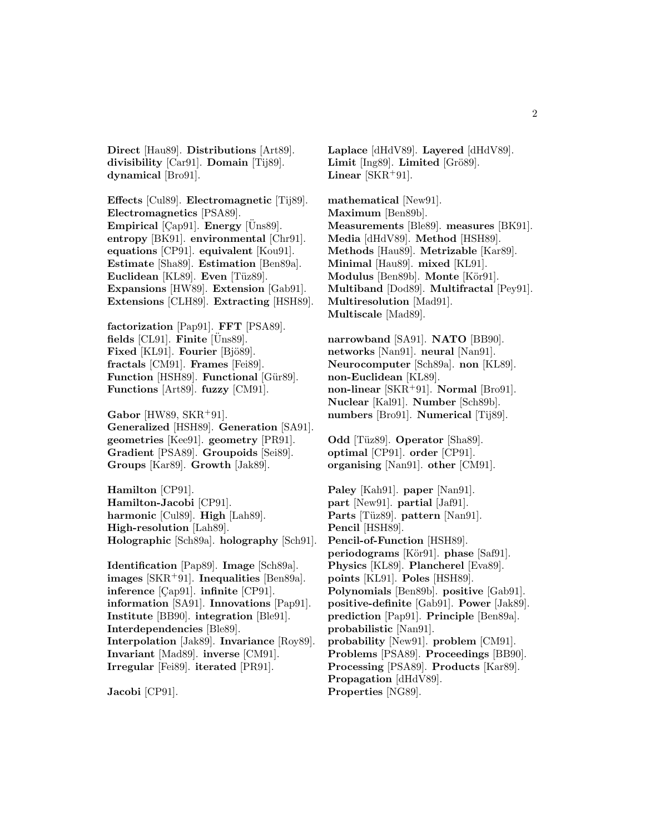**Direct** [Hau89]. **Distributions** [Art89]. **divisibility** [Car91]. **Domain** [Tij89]. **dynamical** [Bro91].

**Effects** [Cul89]. **Electromagnetic** [Tij89]. **Electromagnetics** [PSA89]. **Empirical** [ $Cap91$ ]. **Energy** [ $Üns89$ ]. **entropy** [BK91]. **environmental** [Chr91]. **equations** [CP91]. **equivalent** [Kou91]. **Estimate** [Sha89]. **Estimation** [Ben89a]. **Euclidean** [KL89]. **Even** [Tüz89]. **Expansions** [HW89]. **Extension** [Gab91]. **Extensions** [CLH89]. **Extracting** [HSH89].

**factorization** [Pap91]. **FFT** [PSA89].  $fields$  [CL91]. **Finite** [Uns89]. **Fixed** [KL91]. **Fourier** [Bjö89]. **fractals** [CM91]. **Frames** [Fei89]. **Function** [HSH89]. **Functional** [Gür89]. **Functions** [Art89]. **fuzzy** [CM91].

**Gabor** [HW89, SKR<sup>+</sup>91]. **Generalized** [HSH89]. **Generation** [SA91]. **geometries** [Kee91]. **geometry** [PR91]. **Gradient** [PSA89]. **Groupoids** [Sei89]. **Groups** [Kar89]. **Growth** [Jak89].

**Hamilton** [CP91]. **Hamilton-Jacobi** [CP91]. **harmonic** [Cul89]. **High** [Lah89]. **High-resolution** [Lah89]. **Holographic** [Sch89a]. **holography** [Sch91].

**Identification** [Pap89]. **Image** [Sch89a]. **images** [SKR<sup>+</sup>91]. **Inequalities** [Ben89a]. **inference** [Çap91]. **infinite** [CP91]. **information** [SA91]. **Innovations** [Pap91]. **Institute** [BB90]. **integration** [Ble91]. **Interdependencies** [Ble89]. **Interpolation** [Jak89]. **Invariance** [Roy89]. **Invariant** [Mad89]. **inverse** [CM91]. **Irregular** [Fei89]. **iterated** [PR91].

**Jacobi** [CP91].

**Laplace** [dHdV89]. **Layered** [dHdV89]. Limit [Ing89]. Limited [Grö89]. **Linear**  $[SKR+91]$ .

**mathematical** [New91]. **Maximum** [Ben89b]. **Measurements** [Ble89]. **measures** [BK91]. **Media** [dHdV89]. **Method** [HSH89]. **Methods** [Hau89]. **Metrizable** [Kar89]. **Minimal** [Hau89]. **mixed** [KL91]. **Modulus** [Ben89b]. **Monte** [Kör91]. **Multiband** [Dod89]. **Multifractal** [Pey91]. **Multiresolution** [Mad91]. **Multiscale** [Mad89].

**narrowband** [SA91]. **NATO** [BB90]. **networks** [Nan91]. **neural** [Nan91]. **Neurocomputer** [Sch89a]. **non** [KL89]. **non-Euclidean** [KL89]. **non-linear** [SKR<sup>+</sup>91]. **Normal** [Bro91]. **Nuclear** [Kal91]. **Number** [Sch89b]. **numbers** [Bro91]. **Numerical** [Tij89].

**Odd** [Tüz89]. **Operator** [Sha89]. **optimal** [CP91]. **order** [CP91]. **organising** [Nan91]. **other** [CM91].

**Paley** [Kah91]. **paper** [Nan91]. **part** [New91]. **partial** [Jaf91]. **Parts** [Tüz89]. **pattern** [Nan91]. **Pencil** [HSH89]. **Pencil-of-Function** [HSH89]. **periodograms** [Kör91]. **phase** [Saf91]. **Physics** [KL89]. **Plancherel** [Eva89]. **points** [KL91]. **Poles** [HSH89]. **Polynomials** [Ben89b]. **positive** [Gab91]. **positive-definite** [Gab91]. **Power** [Jak89]. **prediction** [Pap91]. **Principle** [Ben89a]. **probabilistic** [Nan91]. **probability** [New91]. **problem** [CM91]. **Problems** [PSA89]. **Proceedings** [BB90]. **Processing** [PSA89]. **Products** [Kar89]. **Propagation** [dHdV89]. **Properties** [NG89].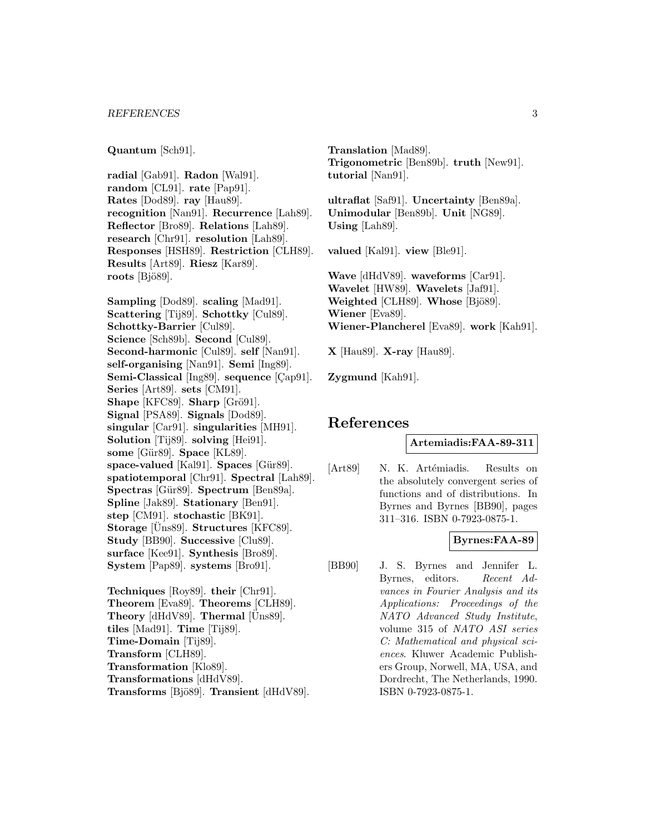**Quantum** [Sch91].

**radial** [Gab91]. **Radon** [Wal91]. **random** [CL91]. **rate** [Pap91]. **Rates** [Dod89]. **ray** [Hau89]. **recognition** [Nan91]. **Recurrence** [Lah89]. **Reflector** [Bro89]. **Relations** [Lah89]. **research** [Chr91]. **resolution** [Lah89]. **Responses** [HSH89]. **Restriction** [CLH89]. **Results** [Art89]. **Riesz** [Kar89]. **roots** [Bjö89].

**Sampling** [Dod89]. **scaling** [Mad91]. **Scattering** [Tij89]. **Schottky** [Cul89]. **Schottky-Barrier** [Cul89]. **Science** [Sch89b]. **Second** [Cul89]. **Second-harmonic** [Cul89]. **self** [Nan91]. **self-organising** [Nan91]. **Semi** [Ing89]. **Semi-Classical** [Ing89]. **sequence** [Cap91]. **Series** [Art89]. **sets** [CM91]. **Shape** [KFC89]. **Sharp** [Grö91]. **Signal** [PSA89]. **Signals** [Dod89]. **singular** [Car91]. **singularities** [MH91]. **Solution** [Tij89]. **solving** [Hei91]. **some** [Gür89]. **Space** [KL89]. **space-valued** [Kal91]. **Spaces** [Gür89]. **spatiotemporal** [Chr91]. **Spectral** [Lah89]. **Spectras** [Gür89]. **Spectrum** [Ben89a]. **Spline** [Jak89]. **Stationary** [Ben91]. **step** [CM91]. **stochastic** [BK91]. **Storage** [Uns89]. **Structures** [KFC89]. **Study** [BB90]. **Successive** [Clu89]. **surface** [Kee91]. **Synthesis** [Bro89]. **System** [Pap89]. **systems** [Bro91].

**Techniques** [Roy89]. **their** [Chr91]. **Theorem** [Eva89]. **Theorems** [CLH89]. **Theory** [dHdV89]. **Thermal** [Uns89]. **tiles** [Mad91]. **Time** [Tij89]. **Time-Domain** [Tij89]. **Transform** [CLH89]. **Transformation** [Klo89]. **Transformations** [dHdV89].

**Transforms** [Bjö89]. **Transient** [dHdV89].

**Translation** [Mad89]. **Trigonometric** [Ben89b]. **truth** [New91]. **tutorial** [Nan91].

**ultraflat** [Saf91]. **Uncertainty** [Ben89a]. **Unimodular** [Ben89b]. **Unit** [NG89]. **Using** [Lah89].

**valued** [Kal91]. **view** [Ble91].

**Wave** [dHdV89]. **waveforms** [Car91]. **Wavelet** [HW89]. **Wavelets** [Jaf91]. **Weighted** [CLH89]. **Whose** [Bjö89]. **Wiener** [Eva89]. **Wiener-Plancherel** [Eva89]. **work** [Kah91].

**X** [Hau89]. **X-ray** [Hau89].

**Zygmund** [Kah91].

# **References**

### **Artemiadis:FAA-89-311**

[Art89] N. K. Artémiadis. Results on the absolutely convergent series of functions and of distributions. In Byrnes and Byrnes [BB90], pages 311–316. ISBN 0-7923-0875-1.

# **Byrnes:FAA-89**

[BB90] J. S. Byrnes and Jennifer L. Byrnes, editors. Recent Advances in Fourier Analysis and its Applications: Proceedings of the NATO Advanced Study Institute, volume 315 of NATO ASI series C: Mathematical and physical sciences. Kluwer Academic Publishers Group, Norwell, MA, USA, and Dordrecht, The Netherlands, 1990. ISBN 0-7923-0875-1.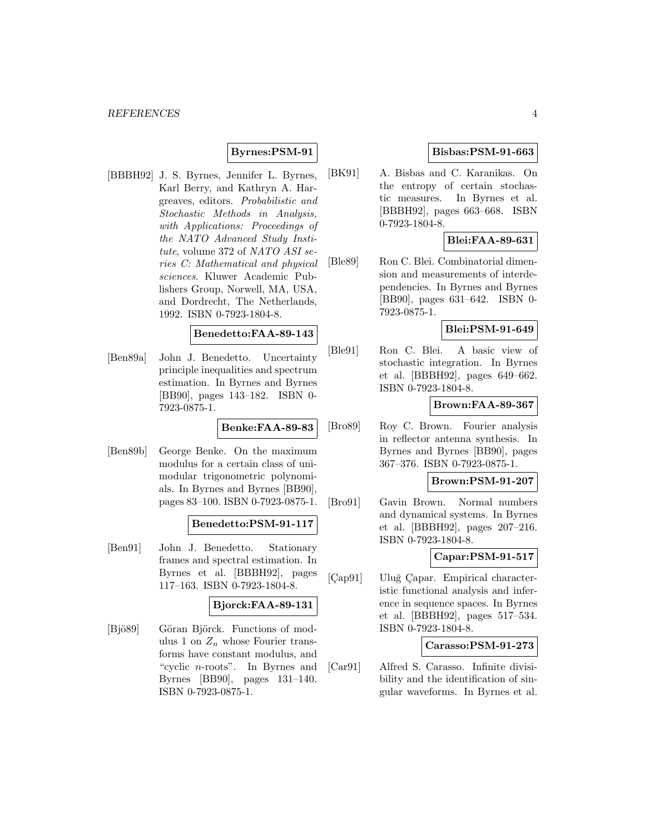### **Byrnes:PSM-91**

[BBBH92] J. S. Byrnes, Jennifer L. Byrnes, Karl Berry, and Kathryn A. Hargreaves, editors. Probabilistic and Stochastic Methods in Analysis, with Applications: Proceedings of the NATO Advanced Study Institute, volume 372 of NATO ASI series C: Mathematical and physical sciences. Kluwer Academic Publishers Group, Norwell, MA, USA, and Dordrecht, The Netherlands, 1992. ISBN 0-7923-1804-8.

# **Benedetto:FAA-89-143**

[Ben89a] John J. Benedetto. Uncertainty principle inequalities and spectrum estimation. In Byrnes and Byrnes [BB90], pages 143–182. ISBN 0- 7923-0875-1.

**Benke:FAA-89-83**

[Ben89b] George Benke. On the maximum modulus for a certain class of unimodular trigonometric polynomials. In Byrnes and Byrnes [BB90], pages 83–100. ISBN 0-7923-0875-1.

# **Benedetto:PSM-91-117**

[Ben91] John J. Benedetto. Stationary frames and spectral estimation. In Byrnes et al. [BBBH92], pages 117–163. ISBN 0-7923-1804-8.

#### **Bjorck:FAA-89-131**

[Bjö89] Göran Björck. Functions of modulus 1 on  $Z_n$  whose Fourier transforms have constant modulus, and "cyclic n-roots". In Byrnes and Byrnes [BB90], pages 131–140. ISBN 0-7923-0875-1.

### **Bisbas:PSM-91-663**

[BK91] A. Bisbas and C. Karanikas. On the entropy of certain stochastic measures. In Byrnes et al. [BBBH92], pages 663–668. ISBN 0-7923-1804-8.

### **Blei:FAA-89-631**

[Ble89] Ron C. Blei. Combinatorial dimension and measurements of interdependencies. In Byrnes and Byrnes [BB90], pages 631–642. ISBN 0- 7923-0875-1.

# **Blei:PSM-91-649**

[Ble91] Ron C. Blei. A basic view of stochastic integration. In Byrnes et al. [BBBH92], pages 649–662. ISBN 0-7923-1804-8.

### **Brown:FAA-89-367**

[Bro89] Roy C. Brown. Fourier analysis in reflector antenna synthesis. In Byrnes and Byrnes [BB90], pages 367–376. ISBN 0-7923-0875-1.

### **Brown:PSM-91-207**

[Bro91] Gavin Brown. Normal numbers and dynamical systems. In Byrnes et al. [BBBH92], pages 207–216. ISBN 0-7923-1804-8.

# **Capar:PSM-91-517**

[Cap91] Uluğ Çapar. Empirical characteristic functional analysis and inference in sequence spaces. In Byrnes et al. [BBBH92], pages 517–534. ISBN 0-7923-1804-8.

### **Carasso:PSM-91-273**

[Car91] Alfred S. Carasso. Infinite divisibility and the identification of singular waveforms. In Byrnes et al.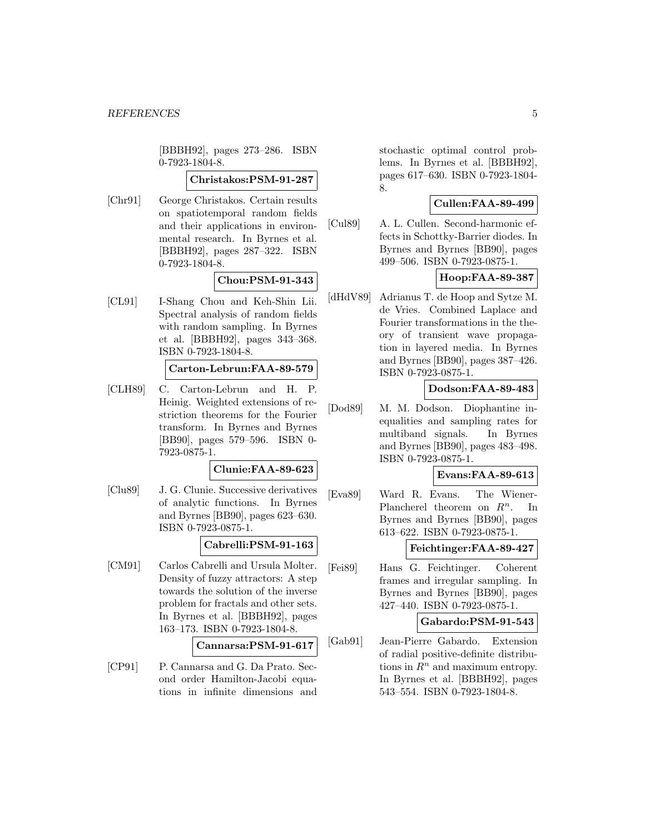[BBBH92], pages 273–286. ISBN 0-7923-1804-8.

### **Christakos:PSM-91-287**

[Chr91] George Christakos. Certain results on spatiotemporal random fields and their applications in environmental research. In Byrnes et al. [BBBH92], pages 287–322. ISBN 0-7923-1804-8.

### **Chou:PSM-91-343**

[CL91] I-Shang Chou and Keh-Shin Lii. Spectral analysis of random fields with random sampling. In Byrnes et al. [BBBH92], pages 343–368. ISBN 0-7923-1804-8.

### **Carton-Lebrun:FAA-89-579**

[CLH89] C. Carton-Lebrun and H. P. Heinig. Weighted extensions of restriction theorems for the Fourier transform. In Byrnes and Byrnes [BB90], pages 579–596. ISBN 0- 7923-0875-1.

### **Clunie:FAA-89-623**

[Clu89] J. G. Clunie. Successive derivatives of analytic functions. In Byrnes and Byrnes [BB90], pages 623–630. ISBN 0-7923-0875-1.

### **Cabrelli:PSM-91-163**

[CM91] Carlos Cabrelli and Ursula Molter. Density of fuzzy attractors: A step towards the solution of the inverse problem for fractals and other sets. In Byrnes et al. [BBBH92], pages 163–173. ISBN 0-7923-1804-8.

### **Cannarsa:PSM-91-617**

[CP91] P. Cannarsa and G. Da Prato. Second order Hamilton-Jacobi equations in infinite dimensions and

stochastic optimal control problems. In Byrnes et al. [BBBH92], pages 617–630. ISBN 0-7923-1804- 8.

### **Cullen:FAA-89-499**

[Cul89] A. L. Cullen. Second-harmonic effects in Schottky-Barrier diodes. In Byrnes and Byrnes [BB90], pages 499–506. ISBN 0-7923-0875-1.

# **Hoop:FAA-89-387**

[dHdV89] Adrianus T. de Hoop and Sytze M. de Vries. Combined Laplace and Fourier transformations in the theory of transient wave propagation in layered media. In Byrnes and Byrnes [BB90], pages 387–426. ISBN 0-7923-0875-1.

### **Dodson:FAA-89-483**

[Dod89] M. M. Dodson. Diophantine inequalities and sampling rates for multiband signals. In Byrnes and Byrnes [BB90], pages 483–498. ISBN 0-7923-0875-1.

### **Evans:FAA-89-613**

[Eva89] Ward R. Evans. The Wiener-Plancherel theorem on  $R^n$ . In Byrnes and Byrnes [BB90], pages 613–622. ISBN 0-7923-0875-1.

# **Feichtinger:FAA-89-427**

[Fei89] Hans G. Feichtinger. Coherent frames and irregular sampling. In Byrnes and Byrnes [BB90], pages 427–440. ISBN 0-7923-0875-1.

#### **Gabardo:PSM-91-543**

[Gab91] Jean-Pierre Gabardo. Extension of radial positive-definite distributions in  $\mathbb{R}^n$  and maximum entropy. In Byrnes et al. [BBBH92], pages 543–554. ISBN 0-7923-1804-8.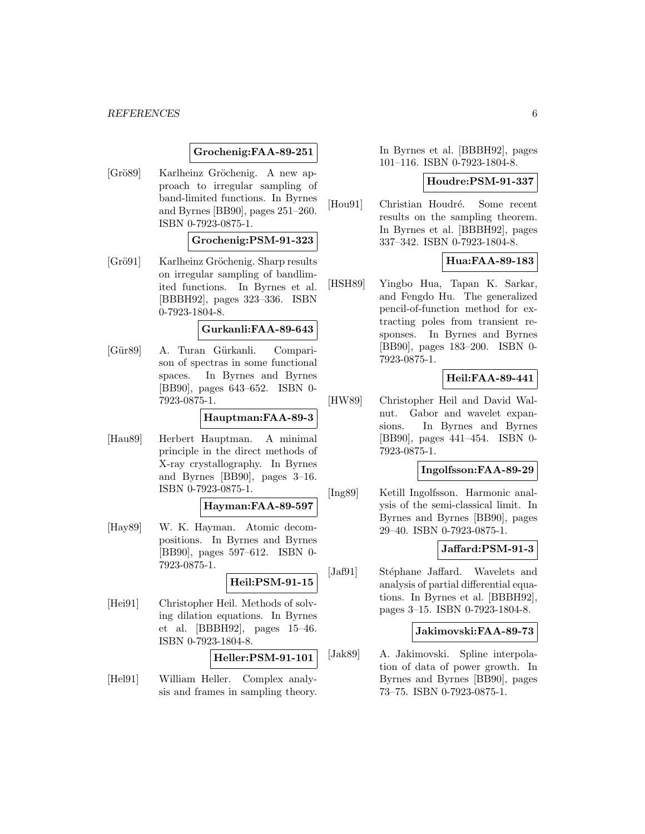#### *REFERENCES* 6

### **Grochenig:FAA-89-251**

[Grö89] Karlheinz Gröchenig. A new approach to irregular sampling of band-limited functions. In Byrnes and Byrnes [BB90], pages 251–260. ISBN 0-7923-0875-1.

#### **Grochenig:PSM-91-323**

[Grö91] Karlheinz Gröchenig. Sharp results on irregular sampling of bandlimited functions. In Byrnes et al. [BBBH92], pages 323–336. ISBN 0-7923-1804-8.

#### **Gurkanli:FAA-89-643**

[Gür89] A. Turan Gürkanli. Comparison of spectras in some functional spaces. In Byrnes and Byrnes [BB90], pages 643–652. ISBN 0- 7923-0875-1.

### **Hauptman:FAA-89-3**

[Hau89] Herbert Hauptman. A minimal principle in the direct methods of X-ray crystallography. In Byrnes and Byrnes [BB90], pages 3–16. ISBN 0-7923-0875-1.

### **Hayman:FAA-89-597**

[Hay89] W. K. Hayman. Atomic decompositions. In Byrnes and Byrnes [BB90], pages 597–612. ISBN 0- 7923-0875-1.

**Heil:PSM-91-15**

[Hei91] Christopher Heil. Methods of solving dilation equations. In Byrnes et al. [BBBH92], pages 15–46. ISBN 0-7923-1804-8.

**Heller:PSM-91-101**

[Hel91] William Heller. Complex analysis and frames in sampling theory.

In Byrnes et al. [BBBH92], pages 101–116. ISBN 0-7923-1804-8.

#### **Houdre:PSM-91-337**

[Hou91] Christian Houdré. Some recent results on the sampling theorem. In Byrnes et al. [BBBH92], pages 337–342. ISBN 0-7923-1804-8.

# **Hua:FAA-89-183**

[HSH89] Yingbo Hua, Tapan K. Sarkar, and Fengdo Hu. The generalized pencil-of-function method for extracting poles from transient responses. In Byrnes and Byrnes [BB90], pages 183–200. ISBN 0- 7923-0875-1.

### **Heil:FAA-89-441**

[HW89] Christopher Heil and David Walnut. Gabor and wavelet expansions. In Byrnes and Byrnes [BB90], pages 441–454. ISBN 0- 7923-0875-1.

# **Ingolfsson:FAA-89-29**

[Ing89] Ketill Ingolfsson. Harmonic analysis of the semi-classical limit. In Byrnes and Byrnes [BB90], pages 29–40. ISBN 0-7923-0875-1.

# **Jaffard:PSM-91-3**

[Jaf91] Stéphane Jaffard. Wavelets and analysis of partial differential equations. In Byrnes et al. [BBBH92], pages 3–15. ISBN 0-7923-1804-8.

### **Jakimovski:FAA-89-73**

[Jak89] A. Jakimovski. Spline interpolation of data of power growth. In Byrnes and Byrnes [BB90], pages 73–75. ISBN 0-7923-0875-1.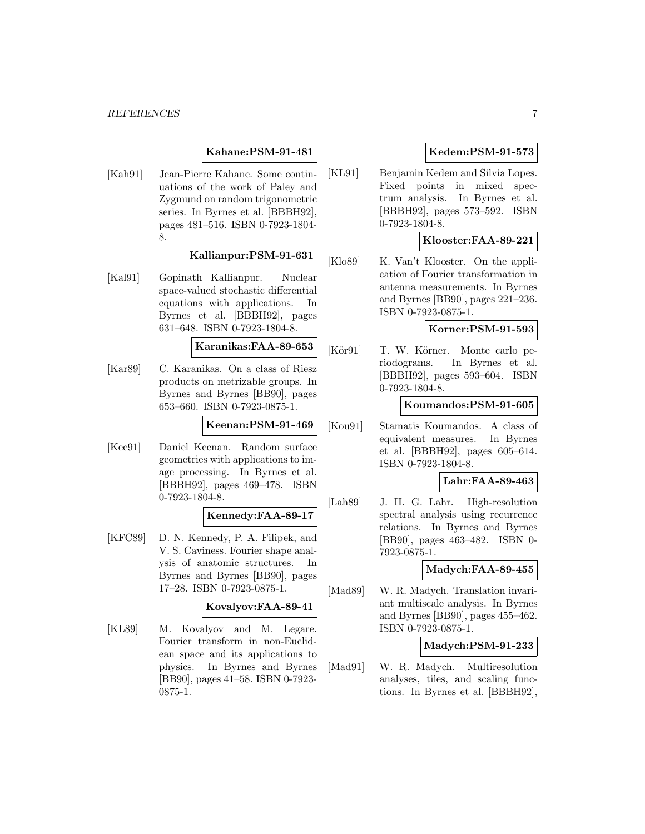**Kahane:PSM-91-481**

[Kah91] Jean-Pierre Kahane. Some continuations of the work of Paley and Zygmund on random trigonometric series. In Byrnes et al. [BBBH92], pages 481–516. ISBN 0-7923-1804- 8.

### **Kallianpur:PSM-91-631**

[Kal91] Gopinath Kallianpur. Nuclear space-valued stochastic differential equations with applications. In Byrnes et al. [BBBH92], pages 631–648. ISBN 0-7923-1804-8.

**Karanikas:FAA-89-653**

[Kar89] C. Karanikas. On a class of Riesz products on metrizable groups. In Byrnes and Byrnes [BB90], pages 653–660. ISBN 0-7923-0875-1.

**Keenan:PSM-91-469**

[Kee91] Daniel Keenan. Random surface geometries with applications to image processing. In Byrnes et al. [BBBH92], pages 469–478. ISBN 0-7923-1804-8.

### **Kennedy:FAA-89-17**

[KFC89] D. N. Kennedy, P. A. Filipek, and V. S. Caviness. Fourier shape analysis of anatomic structures. In Byrnes and Byrnes [BB90], pages 17–28. ISBN 0-7923-0875-1.

### **Kovalyov:FAA-89-41**

[KL89] M. Kovalyov and M. Legare. Fourier transform in non-Euclidean space and its applications to physics. In Byrnes and Byrnes [BB90], pages 41–58. ISBN 0-7923- 0875-1.

# **Kedem:PSM-91-573**

[KL91] Benjamin Kedem and Silvia Lopes. Fixed points in mixed spectrum analysis. In Byrnes et al. [BBBH92], pages 573–592. ISBN 0-7923-1804-8.

### **Klooster:FAA-89-221**

[Klo89] K. Van't Klooster. On the application of Fourier transformation in antenna measurements. In Byrnes and Byrnes [BB90], pages 221–236. ISBN 0-7923-0875-1.

# **Korner:PSM-91-593**

[Kör91] T. W. Körner. Monte carlo periodograms. In Byrnes et al. [BBBH92], pages 593–604. ISBN 0-7923-1804-8.

### **Koumandos:PSM-91-605**

[Kou91] Stamatis Koumandos. A class of equivalent measures. In Byrnes et al. [BBBH92], pages 605–614. ISBN 0-7923-1804-8.

**Lahr:FAA-89-463**

[Lah89] J. H. G. Lahr. High-resolution spectral analysis using recurrence relations. In Byrnes and Byrnes [BB90], pages 463–482. ISBN 0- 7923-0875-1.

#### **Madych:FAA-89-455**

[Mad89] W. R. Madych. Translation invariant multiscale analysis. In Byrnes and Byrnes [BB90], pages 455–462. ISBN 0-7923-0875-1.

### **Madych:PSM-91-233**

[Mad91] W. R. Madych. Multiresolution analyses, tiles, and scaling functions. In Byrnes et al. [BBBH92],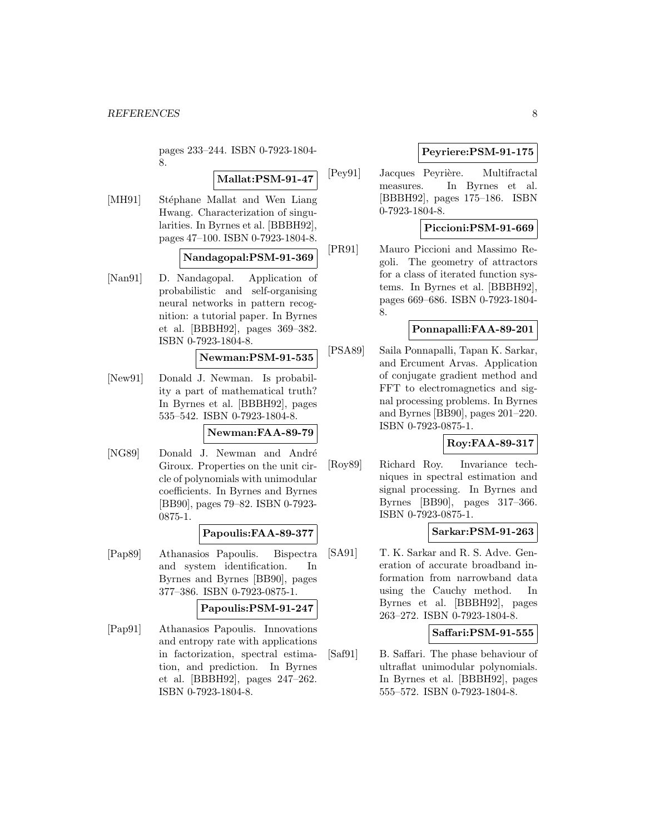pages 233–244. ISBN 0-7923-1804- 8.

**Mallat:PSM-91-47**

[MH91] Stéphane Mallat and Wen Liang Hwang. Characterization of singularities. In Byrnes et al. [BBBH92], pages 47–100. ISBN 0-7923-1804-8.

$$
{\bf N} and a \texttt{gopal:PSM-91-369} \big|
$$

[Nan91] D. Nandagopal. Application of probabilistic and self-organising neural networks in pattern recognition: a tutorial paper. In Byrnes et al. [BBBH92], pages 369–382. ISBN 0-7923-1804-8.

# **Newman:PSM-91-535**

[New91] Donald J. Newman. Is probability a part of mathematical truth? In Byrnes et al. [BBBH92], pages 535–542. ISBN 0-7923-1804-8.

**Newman:FAA-89-79**

[NG89] Donald J. Newman and André Giroux. Properties on the unit circle of polynomials with unimodular coefficients. In Byrnes and Byrnes [BB90], pages 79–82. ISBN 0-7923- 0875-1.

### **Papoulis:FAA-89-377**

[Pap89] Athanasios Papoulis. Bispectra and system identification. In Byrnes and Byrnes [BB90], pages 377–386. ISBN 0-7923-0875-1.

### **Papoulis:PSM-91-247**

[Pap91] Athanasios Papoulis. Innovations and entropy rate with applications in factorization, spectral estimation, and prediction. In Byrnes et al. [BBBH92], pages 247–262. ISBN 0-7923-1804-8.

# **Peyriere:PSM-91-175**

[Pey91] Jacques Peyrière. Multifractal measures. In Byrnes et al. [BBBH92], pages 175–186. ISBN 0-7923-1804-8.

# **Piccioni:PSM-91-669**

[PR91] Mauro Piccioni and Massimo Regoli. The geometry of attractors for a class of iterated function systems. In Byrnes et al. [BBBH92], pages 669–686. ISBN 0-7923-1804- 8.

### **Ponnapalli:FAA-89-201**

[PSA89] Saila Ponnapalli, Tapan K. Sarkar, and Ercument Arvas. Application of conjugate gradient method and FFT to electromagnetics and signal processing problems. In Byrnes and Byrnes [BB90], pages 201–220. ISBN 0-7923-0875-1.

### **Roy:FAA-89-317**

[Roy89] Richard Roy. Invariance techniques in spectral estimation and signal processing. In Byrnes and Byrnes [BB90], pages 317–366. ISBN 0-7923-0875-1.

### **Sarkar:PSM-91-263**

[SA91] T. K. Sarkar and R. S. Adve. Generation of accurate broadband information from narrowband data using the Cauchy method. In Byrnes et al. [BBBH92], pages 263–272. ISBN 0-7923-1804-8.

#### **Saffari:PSM-91-555**

[Saf91] B. Saffari. The phase behaviour of ultraflat unimodular polynomials. In Byrnes et al. [BBBH92], pages 555–572. ISBN 0-7923-1804-8.